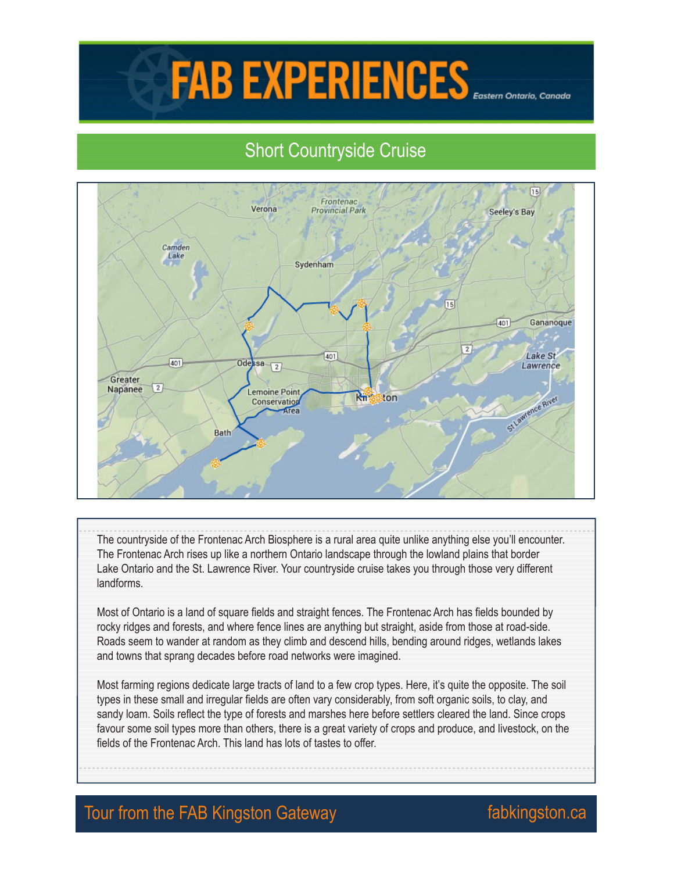## FAB EXPERIENCES

## Short Countryside Cruise



The countryside of the Frontenac Arch Biosphere is a rural area quite unlike anything else you'll encounter. The Frontenac Arch rises up like a northern Ontario landscape through the lowland plains that border Lake Ontario and the St. Lawrence River. Your countryside cruise takes you through those very different landforms.

Most of Ontario is a land of square fields and straight fences. The Frontenac Arch has fields bounded by rocky ridges and forests, and where fence lines are anything but straight, aside from those at road-side. Roads seem to wander at random as they climb and descend hills, bending around ridges, wetlands lakes and towns that sprang decades before road networks were imagined.

Most farming regions dedicate large tracts of land to a few crop types. Here, it's quite the opposite. The soil types in these small and irregular fields are often vary considerably, from soft organic soils, to clay, and sandy loam. Soils reflect the type of forests and marshes here before settlers cleared the land. Since crops favour some soil types more than others, there is a great variety of crops and produce, and livestock, on the fields of the Frontenac Arch. This land has lots of tastes to offer.

## Tour from the FAB Kingston Gateway **Fabkingston.ca**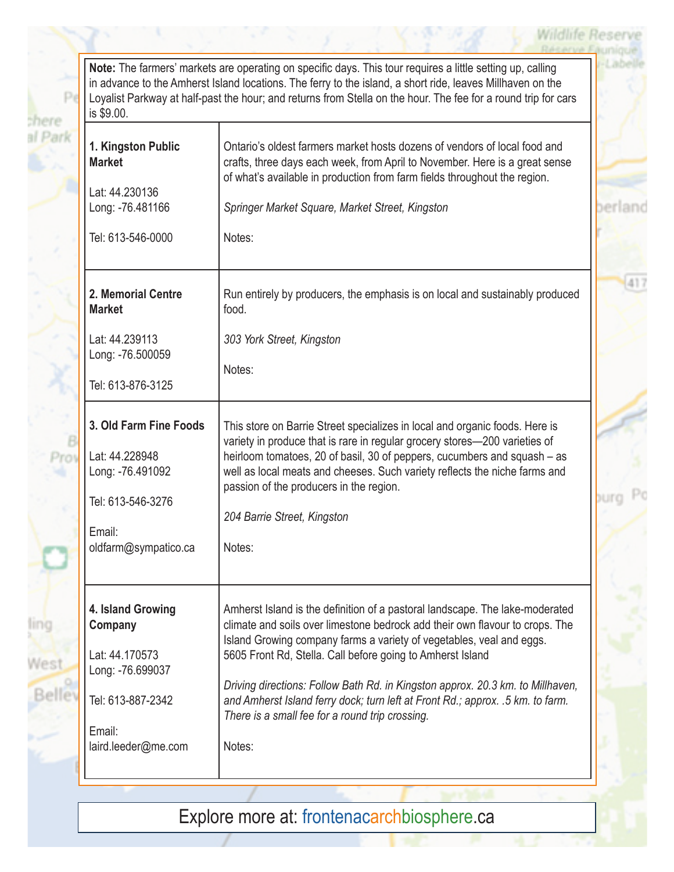## **Wildlife Rese**

١d

**Note:** The farmers' markets are operating on specific days. This tour requires a little setting up, calling in advance to the Amherst Island locations. The ferry to the island, a short ride, leaves Millhaven on the Loyalist Parkway at half-past the hour; and returns from Stella on the hour. The fee for a round trip for cars is \$9.00.

Pe

Prin

shere al Park

| is \$9.00.                                                                                                               |                                                                                                                                                                                                                                                                                                                                                                                                                                                                                                                                     |
|--------------------------------------------------------------------------------------------------------------------------|-------------------------------------------------------------------------------------------------------------------------------------------------------------------------------------------------------------------------------------------------------------------------------------------------------------------------------------------------------------------------------------------------------------------------------------------------------------------------------------------------------------------------------------|
| 1. Kingston Public<br><b>Market</b><br>Lat: 44.230136<br>Long: -76.481166                                                | Ontario's oldest farmers market hosts dozens of vendors of local food and<br>crafts, three days each week, from April to November. Here is a great sense<br>of what's available in production from farm fields throughout the region.<br>Springer Market Square, Market Street, Kingston                                                                                                                                                                                                                                            |
| Tel: 613-546-0000                                                                                                        | Notes:                                                                                                                                                                                                                                                                                                                                                                                                                                                                                                                              |
| 2. Memorial Centre<br><b>Market</b>                                                                                      | Run entirely by producers, the emphasis is on local and sustainably produced<br>food.                                                                                                                                                                                                                                                                                                                                                                                                                                               |
| Lat: 44.239113<br>Long: -76.500059<br>Tel: 613-876-3125                                                                  | 303 York Street, Kingston<br>Notes:                                                                                                                                                                                                                                                                                                                                                                                                                                                                                                 |
| 3. Old Farm Fine Foods<br>Lat: 44.228948<br>Long: -76.491092<br>Tel: 613-546-3276<br>Email:<br>oldfarm@sympatico.ca      | This store on Barrie Street specializes in local and organic foods. Here is<br>variety in produce that is rare in regular grocery stores-200 varieties of<br>heirloom tomatoes, 20 of basil, 30 of peppers, cucumbers and squash - as<br>well as local meats and cheeses. Such variety reflects the niche farms and<br>passion of the producers in the region.<br>204 Barrie Street, Kingston<br>Notes:                                                                                                                             |
| 4. Island Growing<br>Company<br>Lat: 44.170573<br>Long: -76.699037<br>Tel: 613-887-2342<br>Email:<br>laird.leeder@me.com | Amherst Island is the definition of a pastoral landscape. The lake-moderated<br>climate and soils over limestone bedrock add their own flavour to crops. The<br>Island Growing company farms a variety of vegetables, veal and eggs.<br>5605 Front Rd, Stella. Call before going to Amherst Island<br>Driving directions: Follow Bath Rd. in Kingston approx. 20.3 km. to Millhaven,<br>and Amherst Island ferry dock; turn left at Front Rd.; approx. .5 km. to farm.<br>There is a small fee for a round trip crossing.<br>Notes: |

Explore more at: frontenacarchbiosphere.ca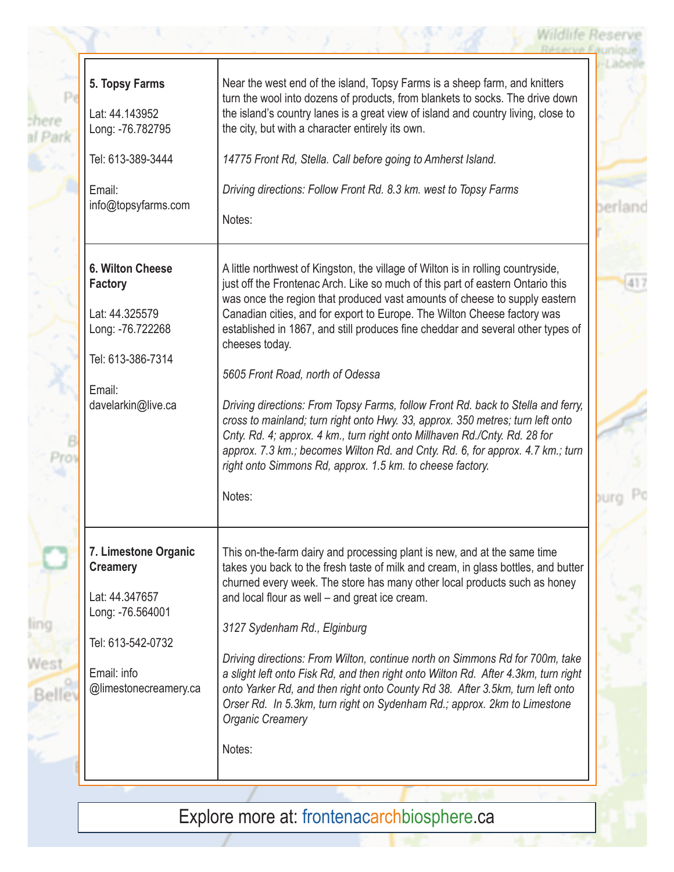chere al Pari

**ling** 

West

**Wildlife Reserve** 

Explore more at: frontenacarchbiosphere.ca